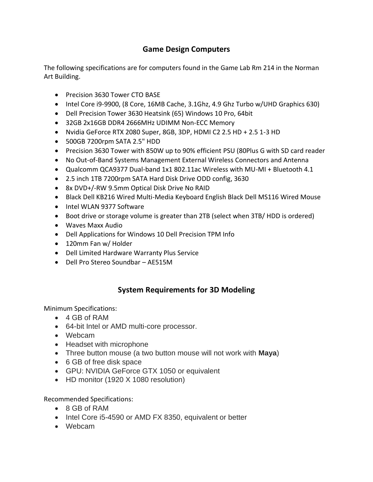## **Game Design Computers**

The following specifications are for computers found in the Game Lab Rm 214 in the Norman Art Building.

- Precision 3630 Tower CTO BASE
- Intel Core i9-9900, (8 Core, 16MB Cache, 3.1Ghz, 4.9 Ghz Turbo w/UHD Graphics 630)
- Dell Precision Tower 3630 Heatsink (65) Windows 10 Pro, 64bit
- 32GB 2x16GB DDR4 2666MHz UDIMM Non-ECC Memory
- Nvidia GeForce RTX 2080 Super, 8GB, 3DP, HDMI C2 2.5 HD + 2.5 1-3 HD
- 500GB 7200rpm SATA 2.5" HDD
- Precision 3630 Tower with 850W up to 90% efficient PSU (80Plus G with SD card reader
- No Out-of-Band Systems Management External Wireless Connectors and Antenna
- Qualcomm QCA9377 Dual-band 1x1 802.11ac Wireless with MU-MI + Bluetooth 4.1
- 2.5 inch 1TB 7200rpm SATA Hard Disk Drive ODD config, 3630
- 8x DVD+/-RW 9.5mm Optical Disk Drive No RAID
- Black Dell KB216 Wired Multi-Media Keyboard English Black Dell MS116 Wired Mouse
- Intel WLAN 9377 Software
- Boot drive or storage volume is greater than 2TB (select when 3TB/ HDD is ordered)
- Waves Maxx Audio
- Dell Applications for Windows 10 Dell Precision TPM Info
- 120mm Fan w/ Holder
- Dell Limited Hardware Warranty Plus Service
- Dell Pro Stereo Soundbar AE515M

## **System Requirements for 3D Modeling**

Minimum Specifications:

- 4 GB of RAM
- 64-bit Intel or AMD multi-core processor.
- Webcam
- Headset with microphone
- Three button mouse (a two button mouse will not work with **Maya**)
- 6 GB of free disk space
- GPU: NVIDIA GeForce GTX 1050 or equivalent
- HD monitor (1920 X 1080 resolution)

Recommended Specifications:

- 8 GB of RAM
- Intel Core i5-4590 or AMD FX 8350, equivalent or better
- Webcam